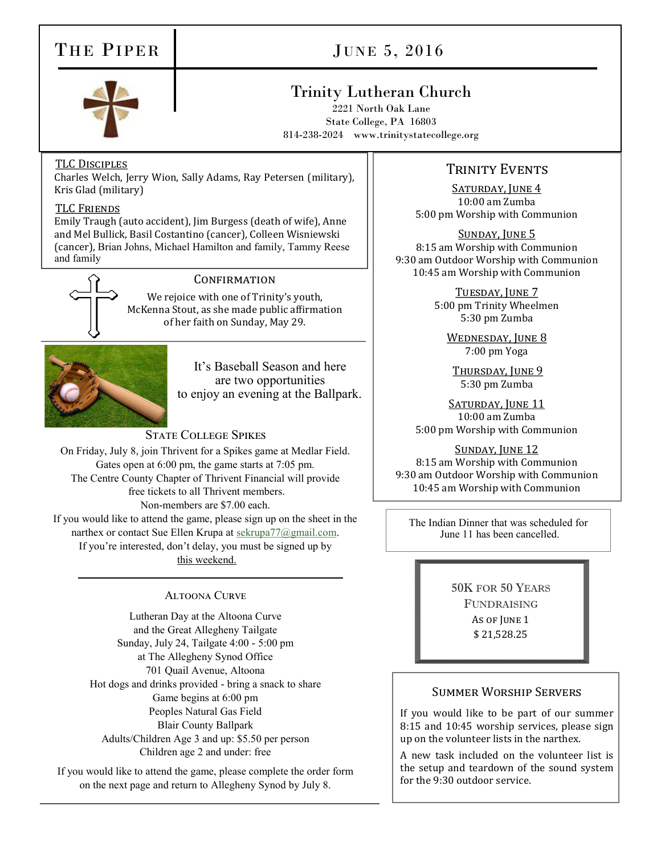# THE PIPER

# JUNE 5, 2016

## Trinity Lutheran Church

2221 North Oak Lane State College, PA 16803 814-238-2024 www.trinitystatecollege.org

#### TLC Disciples

Charles Welch, Jerry Wion, Sally Adams, Ray Petersen (military), Kris Glad (military)

#### TLC Friends

Emily Traugh (auto accident), Jim Burgess (death of wife), Anne and Mel Bullick, Basil Costantino (cancer), Colleen Wisniewski (cancer), Brian Johns, Michael Hamilton and family, Tammy Reese and family



#### **CONFIRMATION**

We rejoice with one of Trinity's youth, McKenna Stout, as she made public affirmation of her faith on Sunday, May 29.



It's Baseball Season and here are two opportunities to enjoy an evening at the Ballpark.

#### State College Spikes

On Friday, July 8, join Thrivent for a Spikes game at Medlar Field. Gates open at 6:00 pm, the game starts at 7:05 pm. The Centre County Chapter of Thrivent Financial will provide free tickets to all Thrivent members. Non-members are \$7.00 each. If you would like to attend the game, please sign up on the sheet in the narthex or contact Sue Ellen Krupa at [sekrupa77@gmail.com.](mailto:sekrupa77@gmail.com) If you're interested, don't delay, you must be signed up by this weekend.

#### Altoona Curve

Lutheran Day at the Altoona Curve and the Great Allegheny Tailgate Sunday, July 24, Tailgate 4:00 - 5:00 pm at The Allegheny Synod Office 701 Quail Avenue, Altoona Hot dogs and drinks provided - bring a snack to share Game begins at 6:00 pm Peoples Natural Gas Field Blair County Ballpark Adults/Children Age 3 and up: \$5.50 per person Children age 2 and under: free

If you would like to attend the game, please complete the order form on the next page and return to Allegheny Synod by July 8.

### TRINITY EVENTS

SATURDAY, JUNE 4 10:00 am Zumba 5:00 pm Worship with Communion

SUNDAY, JUNE 5 8:15 am Worship with Communion 9:30 am Outdoor Worship with Communion 10:45 am Worship with Communion

> TUESDAY, JUNE 7 5:00 pm Trinity Wheelmen 5:30 pm Zumba

WEDNESDAY, JUNE 8 7:00 pm Yoga

THURSDAY, JUNE 9 5:30 pm Zumba

SATURDAY, JUNE 11 10:00 am Zumba 5:00 pm Worship with Communion

SUNDAY, JUNE 12 8:15 am Worship with Communion 9:30 am Outdoor Worship with Communion 10:45 am Worship with Communion

The Indian Dinner that was scheduled for June 11 has been cancelled.

> 50K FOR 50 YEARS FUNDRAISING As of June 1 \$ 21,528.25

#### Summer Worship Servers

If you would like to be part of our summer 8:15 and 10:45 worship services, please sign up on the volunteer lists in the narthex.

A new task included on the volunteer list is the setup and teardown of the sound system for the 9:30 outdoor service.